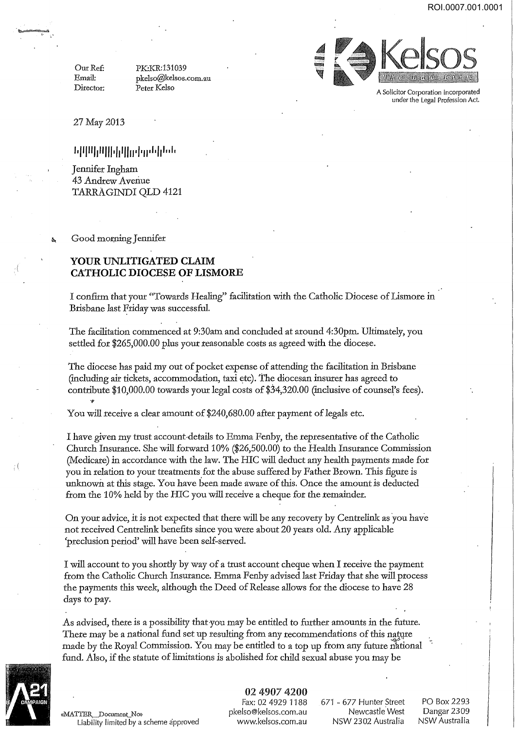Our Ref: Email: Director: PK:KR:131039 pkelso@kelsos.com.au Peter Kelso



A Solicitor Corporation incorporated underthe Legal Profession Act.

27May2013

## **i .111111i11111·Iii1111 ·I ·11·'·I11 .• 1.**

Jennifer Ingham 43 Andrew Avenue TARRAGINDI QLD 4121

Good morning Jennifer

## **YOUR UNLITIGATED CLAIM CATHOLIC DIOCESE OF LISMORE**

I confirm that your "Towards Healing" facilitation with the Catholic Diocese of Lismore in Brisbane last Friday was successful.

The facilitation commenced at 9:30am and concluded at around 4:30pm. Ultimately, you settled for \$265,000.00 plus your reasonable costs as agreed with the diocese.

The diocese has paid my out of pocket expense of attending the facilitation in Brisbane (including air tickets, accommodation, taxi etc). The diocesan insurer has agreed to contribute \$10,000.00 towards your legal costs of \$34,320.00 (inclusive of counsel's fees).

You will receive a clear amount of \$240,680.00 after payment of legals etc.

I have given my trust account-details to Emma Fenby, the representative of the Catholic Church Insurance. She will forward 10% (\$26,500.00) to the Health Insurance Commission (Medicare) in accordance with the law. The HIC will deduct any health payments made for you in relation to your treatments for the abuse suffered by Father Brown. This figure is unknown at this stage. You have been made aware of this. Once the amount is deducted from the 10% held by the HIC you will receive a cheque for the remainder.

On your advice, it is not expected that there will be any recovery by Centrelink as you have not received Centrelink benefits since you were about 20 years old. Any applicable 'preclusion period' will have been self-served.

I will account to you shortly by way of a trust account cheque when I receive the payment from the Catholic Church Insurance. Emma Fenby advised last Friday that she will process the payments this week, although the Deed of Release allows for the diocese to have 28 days to pay.

As advised, there is a possibility that you may be entitled to further amounts in the future. There may be a national fund set up resulting from any recommendations of this nature made by the Royal Commission. You may be entitled to a top up from any future national fund. Also, if the statute of limitations is abolished for child sexual abuse you may be



(

å

 $\iota$  (

<<MATTER Document No» Liability limited by a scheme approved

02 4907 4200 Fax: 02 4929 1188 pkelso@kelsos.com.au www.kelsos.com.au

671 - 677 Hunter Street Newcastle.West NSW 2302 Australia

PO Box 2293 Dangar 2309 NSW Australia